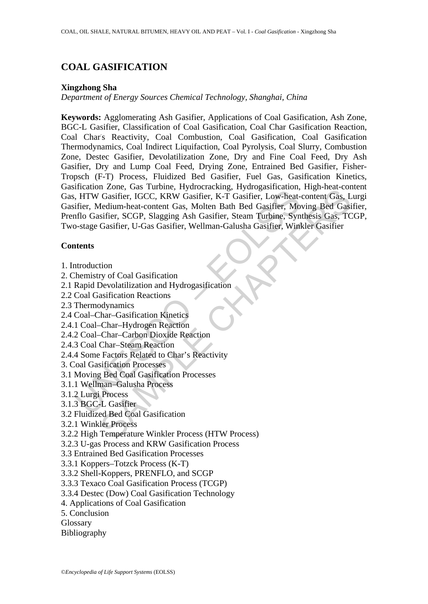# **COAL GASIFICATION**

### **Xingzhong Sha**

*Department of Energy Sources Chemical Technology, Shanghai, China* 

Incussion Lines, vast Tanker, Hymodeania, Hymodeania, Hymodeania, Hymodeania, Hymodeasifier, IGCC, KRW Gasifier, K-T Gasifier, Low-heat-<br>ifier, Medium-heat-content Gas, Molten Bath Bed Gasifier, Mo<br>filo Gasifier, SCGP, Sla Passine, bas Known, Fylomerakeng, Hylongasineanon, Inguraneton<br>
Casifier, IGCC, KRW Gasifier, K-T Gasifier, Low-heat-content Gas, L<br>
dedium-heat-content Gas, Molten Bath Bed Gasifier, Moving Bed Gasi<br>
stifier, SCGP, Slaggi **Keywords:** Agglomerating Ash Gasifier, Applications of Coal Gasification, Ash Zone, BGC-L Gasifier, Classification of Coal Gasification, Coal Char Gasification Reaction, Coal Char' s Reactivity, Coal Combustion, Coal Gasification, Coal Gasification Thermodynamics, Coal Indirect Liquifaction, Coal Pyrolysis, Coal Slurry, Combustion Zone, Destec Gasifier, Devolatilization Zone, Dry and Fine Coal Feed, Dry Ash Gasifier, Dry and Lump Coal Feed, Drying Zone, Entrained Bed Gasifier, Fisher-Tropsch (F-T) Process, Fluidized Bed Gasifier, Fuel Gas, Gasification Kinetics, Gasification Zone, Gas Turbine, Hydrocracking, Hydrogasification, High-heat-content Gas, HTW Gasifier, IGCC, KRW Gasifier, K-T Gasifier, Low-heat-content Gas, Lurgi Gasifier, Medium-heat-content Gas, Molten Bath Bed Gasifier, Moving Bed Gasifier, Prenflo Gasifier, SCGP, Slagging Ash Gasifier, Steam Turbine, Synthesis Gas, TCGP, Two-stage Gasifier, U-Gas Gasifier, Wellman-Galusha Gasifier, Winkler Gasifier

## **Contents**

- 1. Introduction
- 2. Chemistry of Coal Gasification
- 2.1 Rapid Devolatilization and Hydrogasification
- 2.2 Coal Gasification Reactions
- 2.3 Thermodynamics
- 2.4 Coal–Char–Gasification Kinetics
- 2.4.1 Coal–Char–Hydrogen Reaction
- 2.4.2 Coal–Char–Carbon Dioxide Reaction
- 2.4.3 Coal Char–Steam Reaction
- 2.4.4 Some Factors Related to Char's Reactivity
- 3. Coal Gasification Processes
- 3.1 Moving Bed Coal Gasification Processes
- 3.1.1 Wellman–Galusha Process
- 3.1.2 Lurgi Process
- 3.1.3 BGC-L Gasifier
- 3.2 Fluidized Bed Coal Gasification
- 3.2.1 Winkler Process
- 3.2.2 High Temperature Winkler Process (HTW Process)
- 3.2.3 U-gas Process and KRW Gasification Process
- 3.3 Entrained Bed Gasification Processes
- 3.3.1 Koppers–Totzck Process (K-T)
- 3.3.2 Shell-Koppers, PRENFLO, and SCGP
- 3.3.3 Texaco Coal Gasification Process (TCGP)
- 3.3.4 Destec (Dow) Coal Gasification Technology
- 4. Applications of Coal Gasification
- 5. Conclusion
- Glossary
- Bibliography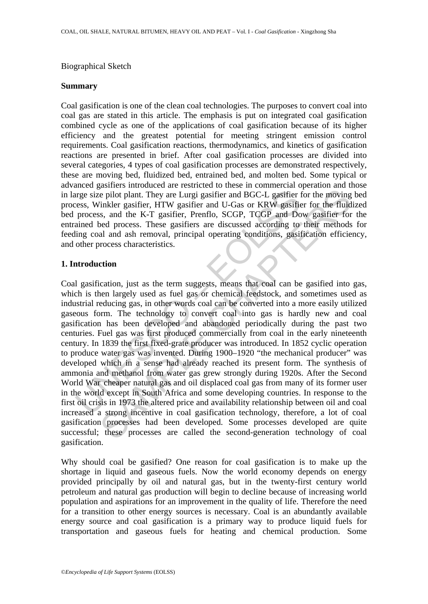### Biographical Sketch

### **Summary**

Coal gasification is one of the clean coal technologies. The purposes to convert coal into coal gas are stated in this article. The emphasis is put on integrated coal gasification combined cycle as one of the applications of coal gasification because of its higher efficiency and the greatest potential for meeting stringent emission control requirements. Coal gasification reactions, thermodynamics, and kinetics of gasification reactions are presented in brief. After coal gasification processes are divided into several categories, 4 types of coal gasification processes are demonstrated respectively, these are moving bed, fluidized bed, entrained bed, and molten bed. Some typical or advanced gasifiers introduced are restricted to these in commercial operation and those in large size pilot plant. They are Lurgi gasifier and BGC-L gasifier for the moving bed process, Winkler gasifier, HTW gasifier and U-Gas or KRW gasifier for the fluidized bed process, and the K-T gasifier, Prenflo, SCGP, TCGP and Dow gasifier for the entrained bed process. These gasifiers are discussed according to their methods for feeding coal and ash removal, principal operating conditions, gasification efficiency, and other process characteristics.

### **1. Introduction**

urge size pilot plant. They are Lurgi gasifier and BGC-L gasifier ress, Winkler gasifier, HTW gasifier and U-Gas or KRW gasifier process, and the K-T gasifier, Prenflo, SCGP, TCGP and Do ained bed process. These gasifiers is epilot plant. They are Lurgi gasifier and BGC-L gasifier for the moving<br>
imkler gasifier, HTW gasifier and U-Gas or KRW gasifier for the moving<br>
imkler gasifier, HTW gasifier and U-Gas or KRW gasifier for the fluid<br>
s.s Coal gasification, just as the term suggests, means that coal can be gasified into gas, which is then largely used as fuel gas or chemical feedstock, and sometimes used as industrial reducing gas, in other words coal can be converted into a more easily utilized gaseous form. The technology to convert coal into gas is hardly new and coal gasification has been developed and abandoned periodically during the past two centuries. Fuel gas was first produced commercially from coal in the early nineteenth century. In 1839 the first fixed-grate producer was introduced. In 1852 cyclic operation to produce water gas was invented. During 1900–1920 "the mechanical producer" was developed which in a sense had already reached its present form. The synthesis of ammonia and methanol from water gas grew strongly during 1920s. After the Second World War cheaper natural gas and oil displaced coal gas from many of its former user in the world except in South Africa and some developing countries. In response to the first oil crisis in 1973 the altered price and availability relationship between oil and coal increased a strong incentive in coal gasification technology, therefore, a lot of coal gasification processes had been developed. Some processes developed are quite successful; these processes are called the second-generation technology of coal gasification.

Why should coal be gasified? One reason for coal gasification is to make up the shortage in liquid and gaseous fuels. Now the world economy depends on energy provided principally by oil and natural gas, but in the twenty-first century world petroleum and natural gas production will begin to decline because of increasing world population and aspirations for an improvement in the quality of life. Therefore the need for a transition to other energy sources is necessary. Coal is an abundantly available energy source and coal gasification is a primary way to produce liquid fuels for transportation and gaseous fuels for heating and chemical production. Some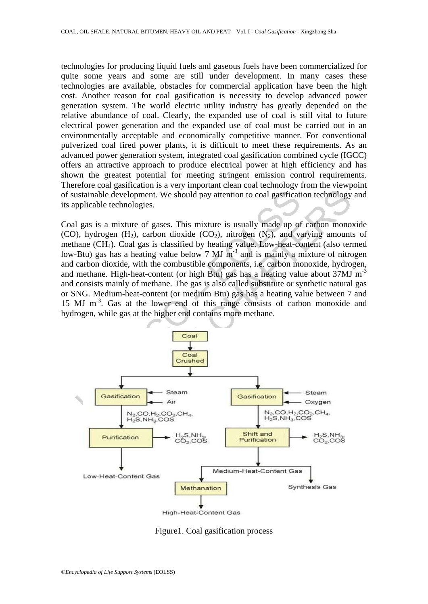technologies for producing liquid fuels and gaseous fuels have been commercialized for quite some years and some are still under development. In many cases these technologies are available, obstacles for commercial application have been the high cost. Another reason for coal gasification is necessity to develop advanced power generation system. The world electric utility industry has greatly depended on the relative abundance of coal. Clearly, the expanded use of coal is still vital to future electrical power generation and the expanded use of coal must be carried out in an environmentally acceptable and economically competitive manner. For conventional pulverized coal fired power plants, it is difficult to meet these requirements. As an advanced power generation system, integrated coal gasification combined cycle (IGCC) offers an attractive approach to produce electrical power at high efficiency and has shown the greatest potential for meeting stringent emission control requirements. Therefore coal gasification is a very important clean coal technology from the viewpoint of sustainable development. We should pay attention to coal gasification technology and its applicable technologies.

ustainable development. We should pay attention to coal gastificatipplicable technologies.<br>
1 gas is a mixture of gases. This mixture is usually made up of<br>
1), hydrogen (H<sub>2</sub>), carbon dioxide (CO<sub>2</sub>), nitrogen (N<sub>2</sub>), an Coal gas is a mixture of gases. This mixture is usually made up of carbon monoxide (CO), hydrogen  $(H_2)$ , carbon dioxide  $(CO_2)$ , nitrogen  $(N_2)$ , and varying amounts of methane (CH4). Coal gas is classified by heating value. Low-heat-content (also termed low-Btu) gas has a heating value below 7 MJ m<sup>-3</sup> and is mainly a mixture of nitrogen and carbon dioxide, with the combustible components, i.e. carbon monoxide, hydrogen, and methane. High-heat-content (or high Btu) gas has a heating value about 37MJ m<sup>-3</sup> and consists mainly of methane. The gas is also called substitute or synthetic natural gas or SNG. Medium-heat-content (or medium Btu) gas has a heating value between 7 and 15 MJ m<sup>-3</sup>. Gas at the lower end of this range consists of carbon monoxide and hydrogen, while gas at the higher end contains more methane.



Figure1. Coal gasification process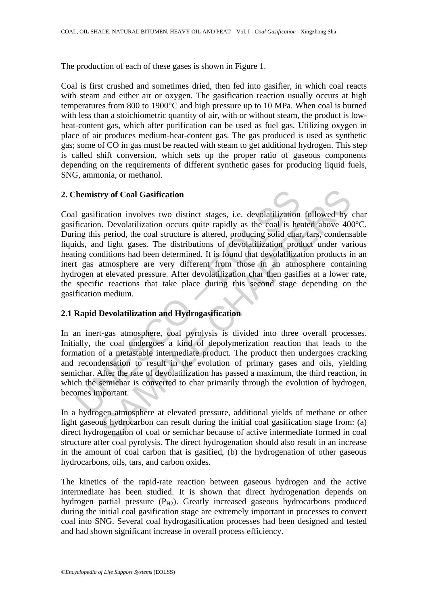The production of each of these gases is shown in Figure 1.

Coal is first crushed and sometimes dried, then fed into gasifier, in which coal reacts with steam and either air or oxygen. The gasification reaction usually occurs at high temperatures from 800 to 1900°C and high pressure up to 10 MPa. When coal is burned with less than a stoichiometric quantity of air, with or without steam, the product is lowheat-content gas, which after purification can be used as fuel gas. Utilizing oxygen in place of air produces medium-heat-content gas. The gas produced is used as synthetic gas; some of CO in gas must be reacted with steam to get additional hydrogen. This step is called shift conversion, which sets up the proper ratio of gaseous components depending on the requirements of different synthetic gases for producing liquid fuels, SNG, ammonia, or methanol.

### **2. Chemistry of Coal Gasification**

The instituted point and the evolutions in the summer in the section.<br>
In gasification involves two distinct stages, i.e. devolatilization<br>
fication. Devolatilization occurs quite rapidly as the coal is here<br>
ing this peri try of Coal Gasification<br>ication involves two distinct stages, i.e. devolatilization followed by<br>i. Devolatilization occurs quite rapidly as the coal is heated above 40<br>s period, the coal structure is altered, producing so Coal gasification involves two distinct stages, i.e. devolatilization followed by char gasification. Devolatilization occurs quite rapidly as the coal is heated above 400°C. During this period, the coal structure is altered, producing solid char, tars, condensable liquids, and light gases. The distributions of devolatilization product under various heating conditions had been determined. It is found that devolatilization products in an inert gas atmosphere are very different from those in an atmosphere containing hydrogen at elevated pressure. After devolatilization char then gasifies at a lower rate, the specific reactions that take place during this second stage depending on the gasification medium.

### **2.1 Rapid Devolatilization and Hydrogasification**

In an inert-gas atmosphere, coal pyrolysis is divided into three overall processes. Initially, the coal undergoes a kind of depolymerization reaction that leads to the formation of a metastable intermediate product. The product then undergoes cracking and recondensation to result in the evolution of primary gases and oils, yielding semichar. After the rate of devolatilization has passed a maximum, the third reaction, in which the semichar is converted to char primarily through the evolution of hydrogen, becomes important.

In a hydrogen atmosphere at elevated pressure, additional yields of methane or other light gaseous hydrocarbon can result during the initial coal gasification stage from: (a) direct hydrogenation of coal or semichar because of active intermediate formed in coal structure after coal pyrolysis. The direct hydrogenation should also result in an increase in the amount of coal carbon that is gasified, (b) the hydrogenation of other gaseous hydrocarbons, oils, tars, and carbon oxides.

The kinetics of the rapid-rate reaction between gaseous hydrogen and the active intermediate has been studied. It is shown that direct hydrogenation depends on hydrogen partial pressure  $(P_{H2})$ . Greatly increased gaseous hydrocarbons produced during the initial coal gasification stage are extremely important in processes to convert coal into SNG. Several coal hydrogasification processes had been designed and tested and had shown significant increase in overall process efficiency.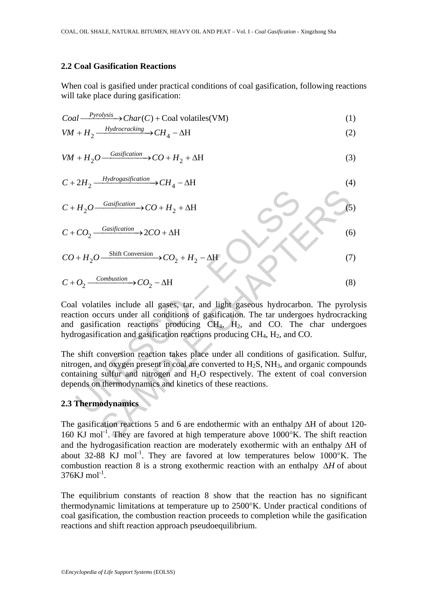### **2.2 Coal Gasification Reactions**

When coal is gasified under practical conditions of coal gasification, following reactions will take place during gasification:

$$
Coal \xrightarrow{\text{Pypolysis}} Char(C) + Coal \text{ volatiles} (VM)
$$
 (1)

$$
VM + H_2 \xrightarrow{Hydrocracking} CH_4 - \Delta H
$$
 (2)

$$
VM + H_2O \xrightarrow{Gasification} CO + H_2 + \Delta H
$$
 (3)

$$
C + 2H_2 \xrightarrow{Hydrogasification} C H_4 - \Delta H
$$
\n
$$
C + H_2O \xrightarrow{Gasification} C O + H_2 + \Delta H
$$
\n
$$
C + CO_2 \xrightarrow{Gasification} 2CO + \Delta H
$$
\n
$$
C O + H_2O \xrightarrow{Shift Conversion} C O_2 + H_2 - \Delta H
$$
\n
$$
C + O_2 \xrightarrow{Combustion} C O_2 - \Delta H
$$
\nCoal volatiles include all gases, tar, and light gaseous hydrocarbon. The pyroly reaction occurs under all conditions of gasification. The tar undergoes hydrocrackia and gasification reactions producing CH<sub>4</sub>, H<sub>2</sub>, and CO. The char undergoe hydrogasification and gasification reactions producing CH<sub>4</sub>, H<sub>2</sub>, and CO. The shift conversion reaction takes place under all conditions of gasification. Sulf nitrogen, and oxygen present in coal are converted to H<sub>2</sub>S, NH<sub>3</sub>, and organic compour containing sulfur and nitrogen and H<sub>2</sub>O respectively. The extent of coal conversi depends on thermodynamics and kinetics of these reactions.

\n2.3 Thermodynamics

\nThe gasification reactions 5 and 6 are endothermic with an enthalpy  $\Delta H$  of about 12160 KJ mol<sup>-1</sup>. They are favored at high temperature above 1000<sup>o</sup>K. The shift reacti

Coal volatiles include all gases, tar, and light gaseous hydrocarbon. The pyrolysis reaction occurs under all conditions of gasification. The tar undergoes hydrocracking and gasification reactions producing  $CH_4$ ,  $H_2$ , and CO. The char undergoes hydrogasification and gasification reactions producing  $CH<sub>4</sub>$ ,  $H<sub>2</sub>$ , and CO.

The shift conversion reaction takes place under all conditions of gasification. Sulfur, nitrogen, and oxygen present in coal are converted to  $H_2S$ ,  $NH_3$ , and organic compounds containing sulfur and nitrogen and H<sub>2</sub>O respectively. The extent of coal conversion depends on thermodynamics and kinetics of these reactions.

## **2.3 Thermodynamics**

The gasification reactions 5 and 6 are endothermic with an enthalpy ΔH of about 120- 160 KJ mol<sup>-1</sup>. They are favored at high temperature above  $1000^\circ$ K. The shift reaction and the hydrogasification reaction are moderately exothermic with an enthalpy ΔH of about 32-88 KJ mol<sup>-1</sup>. They are favored at low temperatures below  $1000^\circ$ K. The combustion reaction 8 is a strong exothermic reaction with an enthalpy Δ*H* of about  $376$ KJ mol $^{-1}$ .

The equilibrium constants of reaction 8 show that the reaction has no significant thermodynamic limitations at temperature up to 2500°K. Under practical conditions of coal gasification, the combustion reaction proceeds to completion while the gasification reactions and shift reaction approach pseudoequilibrium.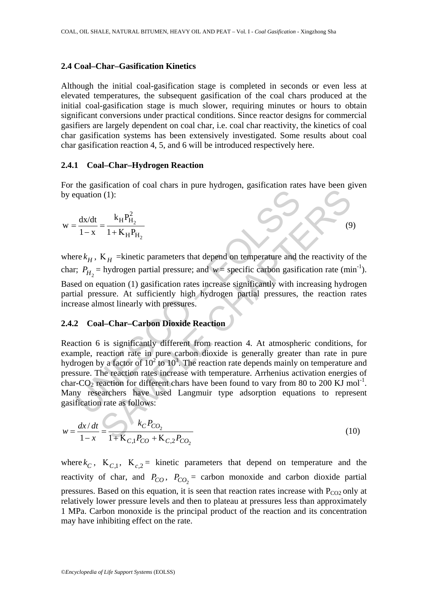#### **2.4 Coal–Char–Gasification Kinetics**

Although the initial coal-gasification stage is completed in seconds or even less at elevated temperatures, the subsequent gasification of the coal chars produced at the initial coal-gasification stage is much slower, requiring minutes or hours to obtain significant conversions under practical conditions. Since reactor designs for commercial gasifiers are largely dependent on coal char, i.e. coal char reactivity, the kinetics of coal char gasification systems has been extensively investigated. Some results about coal char gasification reaction 4, 5, and 6 will be introduced respectively here.

### **2.4.1 Coal–Char–Hydrogen Reaction**

For the gasification of coal chars in pure hydrogen, gasification rates have been given by equation (1):

(9)

$$
w = \frac{dx/dt}{1 - x} = \frac{k_H P_{H_2}^2}{1 + K_H P_{H_2}}
$$

where  $k_H$ ,  $K_H$  =kinetic parameters that depend on temperature and the reactivity of the char;  $P_{H_2}$  = hydrogen partial pressure; and *w* = specific carbon gasification rate (min<sup>-1</sup>). Based on equation (1) gasification rates increase significantly with increasing hydrogen partial pressure. At sufficiently high hydrogen partial pressures, the reaction rates increase almost linearly with pressures.

### **2.4.2 Coal–Char–Carbon Dioxide Reaction**

quation (1):<br>  $\frac{dx}{1-x} = \frac{k_H P_{H_2}^2}{1 + K_H P_{H_2}}$ <br>
re  $k_H$ ,  $K_H$  = kinetic parameters that depend on temperature and t<br>  $\therefore P_{H_2}$  = hydrogen partial pressure; and  $w =$  specific carbon gasificant<br>
ed on equation (1) gasif  $K_H$  = kinetic parameters that depend on temperature and the reactivity of<br>  $K_H$  = kinetic parameters that depend on temperature and the reactivity of<br>  $K_H$  = kinetic parameters that depend on temperature and the reactivi Reaction 6 is significantly different from reaction 4. At atmospheric conditions, for example, reaction rate in pure carbon dioxide is generally greater than rate in pure hydrogen by a factor of  $10^2$  to  $10^3$ . The reaction rate depends mainly on temperature and pressure. The reaction rates increase with temperature. Arrhenius activation energies of char-CO<sub>2</sub> reaction for different chars have been found to vary from 80 to 200 KJ mol<sup>-1</sup>. Many researchers have used Langmuir type adsorption equations to represent gasification rate as follows:

$$
w = \frac{dx/dt}{1 - x} = \frac{k_C P_{CO_2}}{1 + K_{C,1} P_{CO} + K_{C,2} P_{CO_2}}
$$
(10)

where  $k_C$ ,  $K_{C,1}$ ,  $K_{C,2}$  = kinetic parameters that depend on temperature and the reactivity of char, and  $P_{CO}$ ,  $P_{CO_2}$  = carbon monoxide and carbon dioxide partial pressures. Based on this equation, it is seen that reaction rates increase with  $P_{CO2}$  only at relatively lower pressure levels and then to plateau at pressures less than approximately 1 MPa. Carbon monoxide is the principal product of the reaction and its concentration may have inhibiting effect on the rate.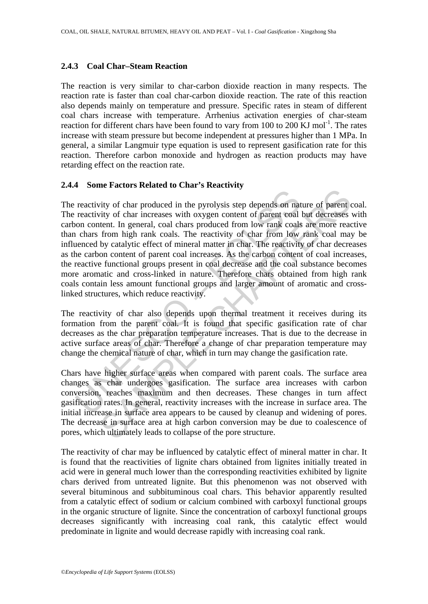### **2.4.3 Coal Char–Steam Reaction**

The reaction is very similar to char-carbon dioxide reaction in many respects. The reaction rate is faster than coal char-carbon dioxide reaction. The rate of this reaction also depends mainly on temperature and pressure. Specific rates in steam of different coal chars increase with temperature. Arrhenius activation energies of char-steam reaction for different chars have been found to vary from 100 to 200 KJ mol<sup>-1</sup>. The rates increase with steam pressure but become independent at pressures higher than 1 MPa. In general, a similar Langmuir type equation is used to represent gasification rate for this reaction. Therefore carbon monoxide and hydrogen as reaction products may have retarding effect on the reaction rate.

## **2.4.4 Some Factors Related to Char's Reactivity**

reactivity of char produced in the pyrolysis step depends on nat<br>reactivity of char increases with oxygen content of parent coal<br>on content. In general, coal chars produced from low rank coals<br>in chars from high rank coals The action of that produced in the pyrolysis step depends on nature of parent tity of char increases with oxygen content of parent coal but decreases with and per control of char increases with oxygen content of parent coa The reactivity of char produced in the pyrolysis step depends on nature of parent coal. The reactivity of char increases with oxygen content of parent coal but decreases with carbon content. In general, coal chars produced from low rank coals are more reactive than chars from high rank coals. The reactivity of char from low rank coal may be influenced by catalytic effect of mineral matter in char. The reactivity of char decreases as the carbon content of parent coal increases. As the carbon content of coal increases, the reactive functional groups present in coal decrease and the coal substance becomes more aromatic and cross-linked in nature. Therefore chars obtained from high rank coals contain less amount functional groups and larger amount of aromatic and crosslinked structures, which reduce reactivity.

The reactivity of char also depends upon thermal treatment it receives during its formation from the parent coal. It is found that specific gasification rate of char decreases as the char preparation temperature increases. That is due to the decrease in active surface areas of char. Therefore a change of char preparation temperature may change the chemical nature of char, which in turn may change the gasification rate.

Chars have higher surface areas when compared with parent coals. The surface area changes as char undergoes gasification. The surface area increases with carbon conversion, reaches maximum and then decreases. These changes in turn affect gasification rates. In general, reactivity increases with the increase in surface area. The initial increase in surface area appears to be caused by cleanup and widening of pores. The decrease in surface area at high carbon conversion may be due to coalescence of pores, which ultimately leads to collapse of the pore structure.

The reactivity of char may be influenced by catalytic effect of mineral matter in char. It is found that the reactivities of lignite chars obtained from lignites initially treated in acid were in general much lower than the corresponding reactivities exhibited by lignite chars derived from untreated lignite. But this phenomenon was not observed with several bituminous and subbituminous coal chars. This behavior apparently resulted from a catalytic effect of sodium or calcium combined with carboxyl functional groups in the organic structure of lignite. Since the concentration of carboxyl functional groups decreases significantly with increasing coal rank, this catalytic effect would predominate in lignite and would decrease rapidly with increasing coal rank.